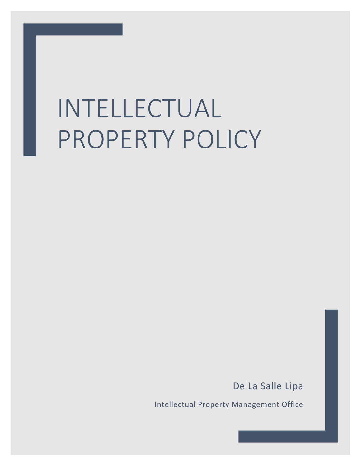# INTELLECTUAL PROPERTY POLICY

De La Salle Lipa

Intellectual Property Management Office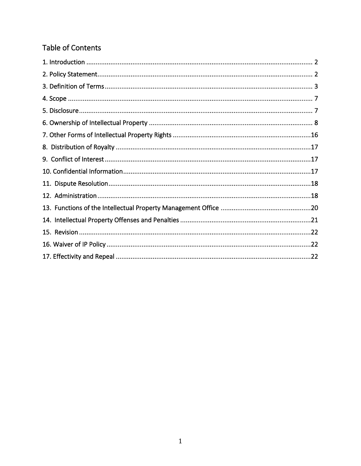# Table of Contents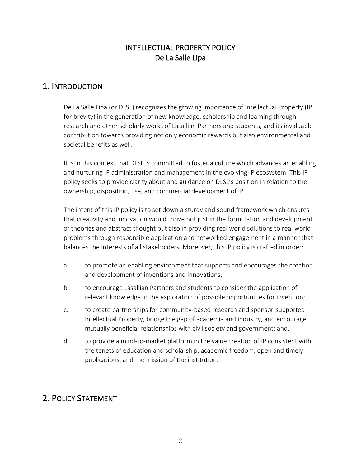## INTELLECTUAL PROPERTY POLICY De La Salle Lipa

## <span id="page-2-0"></span>1. INTRODUCTION

De La Salle Lipa (or DLSL) recognizes the growing importance of Intellectual Property (IP for brevity) in the generation of new knowledge, scholarship and learning through research and other scholarly works of Lasallian Partners and students, and its invaluable contribution towards providing not only economic rewards but also environmental and societal benefits as well.

It is in this context that DLSL is committed to foster a culture which advances an enabling and nurturing IP administration and management in the evolving IP ecosystem. This IP policy seeks to provide clarity about and guidance on DLSL's position in relation to the ownership, disposition, use, and commercial development of IP.

The intent of this IP policy is to set down a sturdy and sound framework which ensures that creativity and innovation would thrive not just in the formulation and development of theories and abstract thought but also in providing real world solutions to real world problems through responsible application and networked engagement in a manner that balances the interests of all stakeholders. Moreover, this IP policy is crafted in order:

- a. to promote an enabling environment that supports and encourages the creation and development of inventions and innovations;
- b. to encourage Lasallian Partners and students to consider the application of relevant knowledge in the exploration of possible opportunities for invention;
- c. to create partnerships for community-based research and sponsor-supported Intellectual Property, bridge the gap of academia and industry, and encourage mutually beneficial relationships with civil society and government; and,
- d. to provide a mind-to-market platform in the value creation of IP consistent with the tenets of education and scholarship, academic freedom, open and timely publications, and the mission of the institution.

# <span id="page-2-1"></span>2. POLICY STATEMENT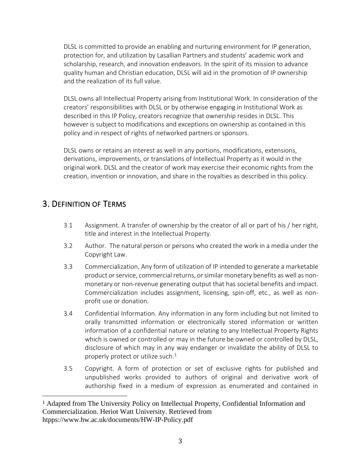DLSL is committed to provide an enabling and nurturing environment for IP generation, protection for, and utilization by Lasallian Partners and students' academic work and scholarship, research, and innovation endeavors. In the spirit of its mission to advance quality human and Christian education, DLSL will aid in the promotion of IP ownership and the realization of its full value.

DLSL owns all Intellectual Property arising from Institutional Work. In consideration of the creators' responsibilities with DLSL or by otherwise engaging in Institutional Work as described in this IP Policy, creators recognize that ownership resides in DLSL. This however is subject to modifications and exceptions on ownership as contained in this policy and in respect of rights of networked partners or sponsors.

DLSL owns or retains an interest as well in any portions, modifications, extensions, derivations, improvements, or translations of Intellectual Property as it would in the original work. DLSL and the creator of work may exercise their economic rights from the creation, invention or innovation, and share in the royalties as described in this policy.

# <span id="page-3-0"></span>3. DEFINITION OF TERMS

- 3.1 Assignment. A transfer of ownership by the creator of all or part of his / her right, title and interest in the Intellectual Property.
- 3.2 Author. The natural person or persons who created the work in a media under the Copyright Law.
- 3.3 Commercialization. Any form of utilization of IP intended to generate a marketable product or service, commercial returns, or similar monetary benefits as well as nonmonetary or non-revenue generating output that has societal benefits and impact. Commercialization includes assignment, licensing, spin-off, etc., as well as nonprofit use or donation.
- 3.4 Confidential Information. Any information in any form including but not limited to orally transmitted information or electronically stored information or written information of a confidential nature or relating to any Intellectual Property Rights which is owned or controlled or may in the future be owned or controlled by DLSL, disclosure of which may in any way endanger or invalidate the ability of DLSL to properly protect or utilize such. $1$
- 3.5 Copyright. A form of protection or set of exclusive rights for published and unpublished works provided to authors of original and derivative work of authorship fixed in a medium of expression as enumerated and contained in

<sup>1</sup> Adapted from The University Policy on Intellectual Property, Confidential Information and Commercialization. Heriot Watt University. Retrieved from htpps://www.hw.ac.uk/documents/HW-IP-Policy.pdf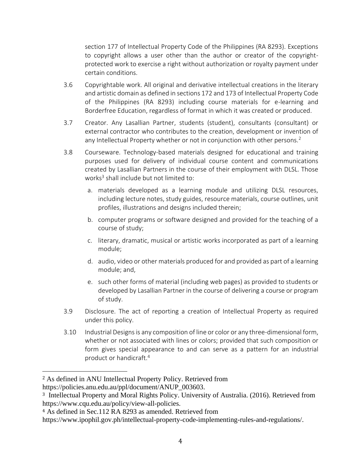section 177 of Intellectual Property Code of the Philippines (RA 8293). Exceptions to copyright allows a user other than the author or creator of the copyrightprotected work to exercise a right without authorization or royalty payment under certain conditions.

- 3.6 Copyrightable work. All original and derivative intellectual creations in the literary and artistic domain as defined in sections 172 and 173 of Intellectual Property Code of the Philippines (RA 8293) including course materials for e-learning and Borderfree Education, regardless of format in which it was created or produced.
- 3.7 Creator. Any Lasallian Partner, students (student), consultants (consultant) or external contractor who contributes to the creation, development or invention of any Intellectual Property whether or not in conjunction with other persons.<sup>2</sup>
- 3.8 Courseware. Technology-based materials designed for educational and training purposes used for delivery of individual course content and communications created by Lasallian Partners in the course of their employment with DLSL. Those works<sup>3</sup> shall include but not limited to:
	- a. materials developed as a learning module and utilizing DLSL resources, including lecture notes, study guides, resource materials, course outlines, unit profiles, illustrations and designs included therein;
	- b. computer programs or software designed and provided for the teaching of a course of study;
	- c. literary, dramatic, musical or artistic works incorporated as part of a learning module;
	- d. audio, video or other materials produced for and provided as part of a learning module; and,
	- e. such other forms of material (including web pages) as provided to students or developed by Lasallian Partner in the course of delivering a course or program of study.
- 3.9 Disclosure. The act of reporting a creation of Intellectual Property as required under this policy.
- 3.10 Industrial Designs is any composition of line or color or any three-dimensional form, whether or not associated with lines or colors; provided that such composition or form gives special appearance to and can serve as a pattern for an industrial product or handicraft.<sup>4</sup>

<sup>2</sup> As defined in ANU Intellectual Property Policy. Retrieved from

https://policies.anu.edu.au/ppl/document/ANUP\_003603.

<sup>3</sup> Intellectual Property and Moral Rights Policy. University of Australia. (2016). Retrieved from https://www.cqu.edu.au/policy/view-all-policies.

<sup>4</sup> As defined in Sec.112 RA 8293 as amended. Retrieved from

https://www.ipophil.gov.ph/intellectual-property-code-implementing-rules-and-regulations/.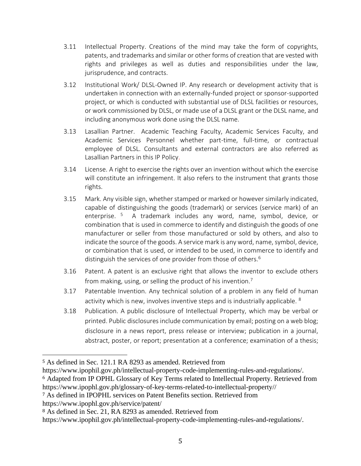- 3.11 Intellectual Property. Creations of the mind may take the form of copyrights, patents, and trademarks and similar or other forms of creation that are vested with rights and privileges as well as duties and responsibilities under the law, jurisprudence, and contracts.
- 3.12 Institutional Work/ DLSL-Owned IP. Any research or development activity that is undertaken in connection with an externally-funded project or sponsor-supported project, or which is conducted with substantial use of DLSL facilities or resources, or work commissioned by DLSL, or made use of a DLSL grant or the DLSL name, and including anonymous work done using the DLSL name.
- 3.13 Lasallian Partner. Academic Teaching Faculty, Academic Services Faculty, and Academic Services Personnel whether part-time, full-time, or contractual employee of DLSL. Consultants and external contractors are also referred as Lasallian Partners in this IP Policy.
- 3.14 License. A right to exercise the rights over an invention without which the exercise will constitute an infringement. It also refers to the instrument that grants those rights.
- 3.15 Mark. Any visible sign, whether stamped or marked or however similarly indicated, capable of distinguishing the goods (trademark) or services (service mark) of an enterprise. <sup>5</sup> A trademark includes any word, name, symbol, device, or combination that is used in commerce to identify and distinguish the goods of one manufacturer or seller from those manufactured or sold by others, and also to indicate the source of the goods. A service mark is any word, name, symbol, device, or combination that is used, or intended to be used, in commerce to identify and distinguish the services of one provider from those of others.<sup>6</sup>
- 3.16 Patent. A patent is an exclusive right that allows the inventor to exclude others from making, using, or selling the product of his invention.<sup>7</sup>
- 3.17 Patentable Invention. Any technical solution of a problem in any field of human activity which is new, involves inventive steps and is industrially applicable. <sup>8</sup>
- 3.18 Publication. A public disclosure of Intellectual Property, which may be verbal or printed. Public disclosures include communication by email; posting on a web blog; disclosure in a news report, press release or interview; publication in a journal, abstract, poster, or report; presentation at a conference; examination of a thesis;

<sup>5</sup> As defined in Sec. 121.1 RA 8293 as amended. Retrieved from

https://www.ipophil.gov.ph/intellectual-property-code-implementing-rules-and-regulations/.

<sup>6</sup> Adapted from IP OPHL Glossary of Key Terms related to Intellectual Property. Retrieved from https://www.ipophl.gov.ph/glossary-of-key-terms-related-to-intellectual-property//

<sup>7</sup> As defined in IPOPHL services on Patent Benefits section. Retrieved from

https://www.ipophl.gov.ph/service/patent/

<sup>8</sup> As defined in Sec. 21, RA 8293 as amended. Retrieved from

https://www.ipophil.gov.ph/intellectual-property-code-implementing-rules-and-regulations/.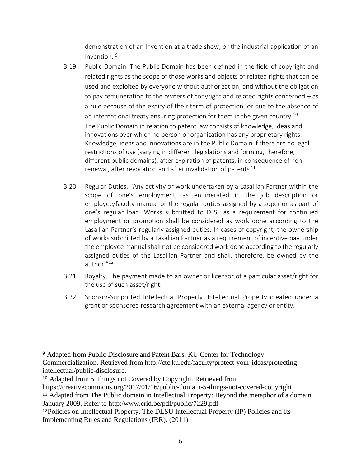demonstration of an Invention at a trade show; or the industrial application of an Invention. <sup>9</sup>

- 3.19 Public Domain. The Public Domain has been defined in the field of copyright and related rights as the scope of those works and objects of related rights that can be used and exploited by everyone without authorization, and without the obligation to pay remuneration to the owners of copyright and related rights concerned – as a rule because of the expiry of their term of protection, or due to the absence of an international treaty ensuring protection for them in the given country.<sup>10</sup> The Public Domain in relation to patent law consists of knowledge, ideas and innovations over which no person or organization has any proprietary rights. Knowledge, ideas and innovations are in the Public Domain if there are no legal restrictions of use (varying in different legislations and forming, therefore, different public domains), after expiration of patents, in consequence of nonrenewal, after revocation and after invalidation of patents $^{11}$
- 3.20 Regular Duties. "Any activity or work undertaken by a Lasallian Partner within the scope of one's employment, as enumerated in the job description or employee/faculty manual or the regular duties assigned by a superior as part of one's regular load. Works submitted to DLSL as a requirement for continued employment or promotion shall be considered as work done according to the Lasallian Partner's regularly assigned duties. In cases of copyright, the ownership of works submitted by a Lasallian Partner as a requirement of incentive pay under the employee manual shall not be considered work done according to the regularly assigned duties of the Lasallian Partner and shall, therefore, be owned by the author."<sup>12</sup>
- 3.21 Royalty. The payment made to an owner or licensor of a particular asset/right for the use of such asset/right.
- 3.22 Sponsor-Supported Intellectual Property. Intellectual Property created under a grant or sponsored research agreement with an external agency or entity.

<sup>9</sup> Adapted from Public Disclosure and Patent Bars, KU Center for Technology

Commercialization. Retrieved from http://ctc.ku.edu/faculty/protect-your-ideas/protectingintellectual/public-disclosure.

<sup>10</sup> Adapted from 5 Things not Covered by Copyright. Retrieved from

https://creativecommons.org/2017/01/16/public-domain-5-things-not-covered-copyright <sup>11</sup> Adapted from The Public domain in Intellectual Property: Beyond the metaphor of a domain. January 2009. Refer to http:/www.crid.be/pdf/public/7229.pdf

<sup>12</sup>Policies on Intellectual Property. The DLSU Intellectual Property (IP) Policies and Its Implementing Rules and Regulations (IRR). (2011)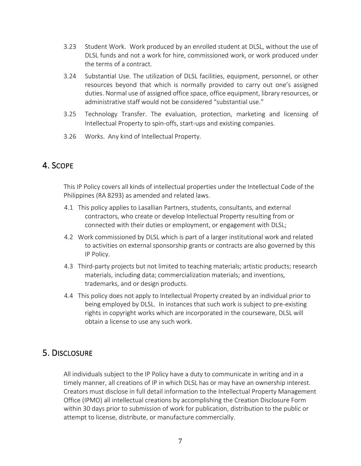- 3.23 Student Work. Work produced by an enrolled student at DLSL, without the use of DLSL funds and not a work for hire, commissioned work, or work produced under the terms of a contract.
- 3.24 Substantial Use. The utilization of DLSL facilities, equipment, personnel, or other resources beyond that which is normally provided to carry out one's assigned duties. Normal use of assigned office space, office equipment, library resources, or administrative staff would not be considered "substantial use."
- 3.25 Technology Transfer. The evaluation, protection, marketing and licensing of Intellectual Property to spin-offs, start-ups and existing companies.
- 3.26 Works. Any kind of Intellectual Property.

# <span id="page-7-0"></span>4. SCOPE

This IP Policy covers all kinds of intellectual properties under the Intellectual Code of the Philippines (RA 8293) as amended and related laws.

- 4.1 This policy applies to Lasallian Partners, students, consultants, and external contractors, who create or develop Intellectual Property resulting from or connected with their duties or employment, or engagement with DLSL;
- 4.2 Work commissioned by DLSL which is part of a larger institutional work and related to activities on external sponsorship grants or contracts are also governed by this IP Policy.
- 4.3 Third-party projects but not limited to teaching materials; artistic products; research materials, including data; commercialization materials; and inventions, trademarks, and or design products.
- 4.4 This policy does not apply to Intellectual Property created by an individual prior to being employed by DLSL. In instances that such work is subject to pre-existing rights in copyright works which are incorporated in the courseware, DLSL will obtain a license to use any such work.

# <span id="page-7-1"></span>5. DISCLOSURE

All individuals subject to the IP Policy have a duty to communicate in writing and in a timely manner, all creations of IP in which DLSL has or may have an ownership interest. Creators must disclose in full detail information to the Intellectual Property Management Office (IPMO) all intellectual creations by accomplishing the Creation Disclosure Form within 30 days prior to submission of work for publication, distribution to the public or attempt to license, distribute, or manufacture commercially.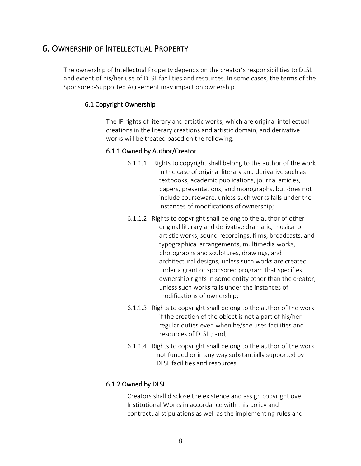## <span id="page-8-0"></span>6. OWNERSHIP OF INTELLECTUAL PROPERTY

The ownership of Intellectual Property depends on the creator's responsibilities to DLSL and extent of his/her use of DLSL facilities and resources. In some cases, the terms of the Sponsored-Supported Agreement may impact on ownership.

#### 6.1 Copyright Ownership

The IP rights of literary and artistic works, which are original intellectual creations in the literary creations and artistic domain, and derivative works will be treated based on the following:

#### 6.1.1 Owned by Author/Creator

- 6.1.1.1 Rights to copyright shall belong to the author of the work in the case of original literary and derivative such as textbooks, academic publications, journal articles, papers, presentations, and monographs, but does not include courseware, unless such works falls under the instances of modifications of ownership;
- 6.1.1.2 Rights to copyright shall belong to the author of other original literary and derivative dramatic, musical or artistic works, sound recordings, films, broadcasts, and typographical arrangements, multimedia works, photographs and sculptures, drawings, and architectural designs, unless such works are created under a grant or sponsored program that specifies ownership rights in some entity other than the creator, unless such works falls under the instances of modifications of ownership;
- 6.1.1.3 Rights to copyright shall belong to the author of the work if the creation of the object is not a part of his/her regular duties even when he/she uses facilities and resources of DLSL.; and,
- 6.1.1.4 Rights to copyright shall belong to the author of the work not funded or in any way substantially supported by DLSL facilities and resources.

#### 6.1.2 Owned by DLSL

Creators shall disclose the existence and assign copyright over Institutional Works in accordance with this policy and contractual stipulations as well as the implementing rules and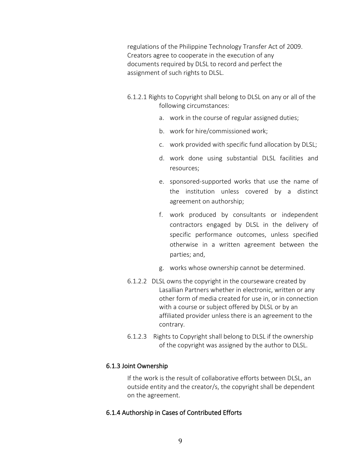regulations of the Philippine Technology Transfer Act of 2009. Creators agree to cooperate in the execution of any documents required by DLSL to record and perfect the assignment of such rights to DLSL.

- 6.1.2.1 Rights to Copyright shall belong to DLSL on any or all of the following circumstances:
	- a. work in the course of regular assigned duties;
	- b. work for hire/commissioned work;
	- c. work provided with specific fund allocation by DLSL;
	- d. work done using substantial DLSL facilities and resources;
	- e. sponsored-supported works that use the name of the institution unless covered by a distinct agreement on authorship;
	- f. work produced by consultants or independent contractors engaged by DLSL in the delivery of specific performance outcomes, unless specified otherwise in a written agreement between the parties; and,
	- g. works whose ownership cannot be determined.
- 6.1.2.2 DLSL owns the copyright in the courseware created by Lasallian Partners whether in electronic, written or any other form of media created for use in, or in connection with a course or subject offered by DLSL or by an affiliated provider unless there is an agreement to the contrary.
- 6.1.2.3 Rights to Copyright shall belong to DLSL if the ownership of the copyright was assigned by the author to DLSL.

#### 6.1.3 Joint Ownership

If the work is the result of collaborative efforts between DLSL, an outside entity and the creator/s, the copyright shall be dependent on the agreement.

#### 6.1.4 Authorship in Cases of Contributed Efforts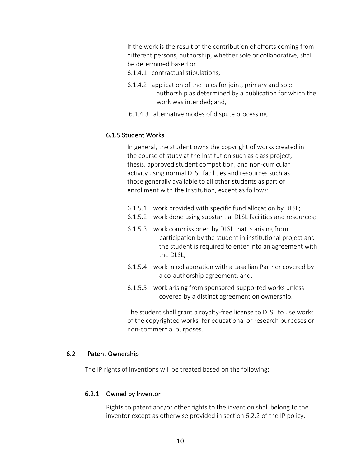If the work is the result of the contribution of efforts coming from different persons, authorship, whether sole or collaborative, shall be determined based on:

- 6.1.4.1 contractual stipulations;
- 6.1.4.2 application of the rules for joint, primary and sole authorship as determined by a publication for which the work was intended; and,
- 6.1.4.3 alternative modes of dispute processing.

#### 6.1.5 Student Works

In general, the student owns the copyright of works created in the course of study at the Institution such as class project, thesis, approved student competition, and non-curricular activity using normal DLSL facilities and resources such as those generally available to all other students as part of enrollment with the Institution, except as follows:

- 6.1.5.1 work provided with specific fund allocation by DLSL;
- 6.1.5.2 work done using substantial DLSL facilities and resources;
- 6.1.5.3 work commissioned by DLSL that is arising from participation by the student in institutional project and the student is required to enter into an agreement with the DLSL;
- 6.1.5.4 work in collaboration with a Lasallian Partner covered by a co-authorship agreement; and,
- 6.1.5.5 work arising from sponsored-supported works unless covered by a distinct agreement on ownership.

The student shall grant a royalty-free license to DLSL to use works of the copyrighted works, for educational or research purposes or non-commercial purposes.

#### 6.2 Patent Ownership

The IP rights of inventions will be treated based on the following:

#### 6.2.1 Owned by Inventor

Rights to patent and/or other rights to the invention shall belong to the inventor except as otherwise provided in section 6.2.2 of the IP policy.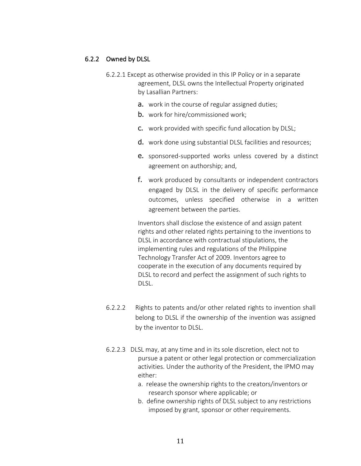#### 6.2.2 Owned by DLSL

- 6.2.2.1 Except as otherwise provided in this IP Policy or in a separate agreement, DLSL owns the Intellectual Property originated by Lasallian Partners:
	- **a.** work in the course of regular assigned duties;
	- b. work for hire/commissioned work;
	- c. work provided with specific fund allocation by DLSL;
	- d. work done using substantial DLSL facilities and resources;
	- e. sponsored-supported works unless covered by a distinct agreement on authorship; and,
	- f. work produced by consultants or independent contractors engaged by DLSL in the delivery of specific performance outcomes, unless specified otherwise in a written agreement between the parties.

Inventors shall disclose the existence of and assign patent rights and other related rights pertaining to the inventions to DLSL in accordance with contractual stipulations, the implementing rules and regulations of the Philippine Technology Transfer Act of 2009. Inventors agree to cooperate in the execution of any documents required by DLSL to record and perfect the assignment of such rights to  $DI$  SL.

- 6.2.2.2 Rights to patents and/or other related rights to invention shall belong to DLSL if the ownership of the invention was assigned by the inventor to DLSL.
- 6.2.2.3 DLSL may, at any time and in its sole discretion, elect not to pursue a patent or other legal protection or commercialization activities. Under the authority of the President, the IPMO may either:
	- a. release the ownership rights to the creators/inventors or research sponsor where applicable; or
	- b. define ownership rights of DLSL subject to any restrictions imposed by grant, sponsor or other requirements.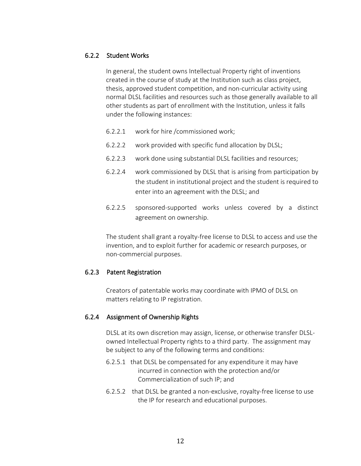#### 6.2.2 Student Works

In general, the student owns Intellectual Property right of inventions created in the course of study at the Institution such as class project, thesis, approved student competition, and non-curricular activity using normal DLSL facilities and resources such as those generally available to all other students as part of enrollment with the Institution, unless it falls under the following instances:

- 6.2.2.1 work for hire /commissioned work;
- 6.2.2.2 work provided with specific fund allocation by DLSL;
- 6.2.2.3 work done using substantial DLSL facilities and resources;
- 6.2.2.4 work commissioned by DLSL that is arising from participation by the student in institutional project and the student is required to enter into an agreement with the DLSL; and
- 6.2.2.5 sponsored-supported works unless covered by a distinct agreement on ownership.

The student shall grant a royalty-free license to DLSL to access and use the invention, and to exploit further for academic or research purposes, or non-commercial purposes.

#### 6.2.3 Patent Registration

Creators of patentable works may coordinate with IPMO of DLSL on matters relating to IP registration.

#### 6.2.4 Assignment of Ownership Rights

DLSL at its own discretion may assign, license, or otherwise transfer DLSLowned Intellectual Property rights to a third party. The assignment may be subject to any of the following terms and conditions:

- 6.2.5.1 that DLSL be compensated for any expenditure it may have incurred in connection with the protection and/or Commercialization of such IP; and
- 6.2.5.2 that DLSL be granted a non-exclusive, royalty-free license to use the IP for research and educational purposes.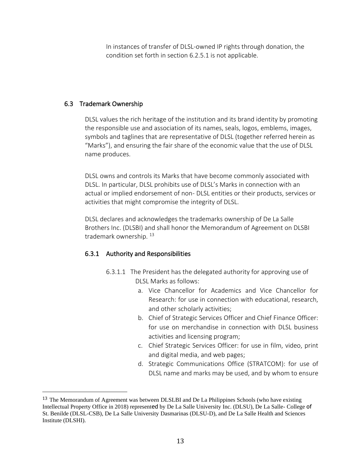In instances of transfer of DLSL-owned IP rights through donation, the condition set forth in section 6.2.5.1 is not applicable.

#### 6.3 Trademark Ownership

DLSL values the rich heritage of the institution and its brand identity by promoting the responsible use and association of its names, seals, logos, emblems, images, symbols and taglines that are representative of DLSL (together referred herein as "Marks"), and ensuring the fair share of the economic value that the use of DLSL name produces.

DLSL owns and controls its Marks that have become commonly associated with DLSL. In particular, DLSL prohibits use of DLSL's Marks in connection with an actual or implied endorsement of non- DLSL entities or their products, services or activities that might compromise the integrity of DLSL.

DLSL declares and acknowledges the trademarks ownership of De La Salle Brothers Inc. (DLSBI) and shall honor the Memorandum of Agreement on DLSBI trademark ownership.<sup>13</sup>

#### 6.3.1 Authority and Responsibilities

- 6.3.1.1 The President has the delegated authority for approving use of DLSL Marks as follows:
	- a. Vice Chancellor for Academics and Vice Chancellor for Research: for use in connection with educational, research, and other scholarly activities;
	- b. Chief of Strategic Services Officer and Chief Finance Officer: for use on merchandise in connection with DLSL business activities and licensing program;
	- c. Chief Strategic Services Officer: for use in film, video, print and digital media, and web pages;
	- d. Strategic Communications Office (STRATCOM): for use of DLSL name and marks may be used, and by whom to ensure

<sup>&</sup>lt;sup>13</sup> The Memorandum of Agreement was between DLSLBI and De La Philippines Schools (who have existing Intellectual Property Office in 2018) represented by De La Salle University Inc. (DLSU), De La Salle- College of St. Benilde (DLSL-CSB), De La Salle University Dasmarinas (DLSU-D), and De La Salle Health and Sciences Institute (DLSHI).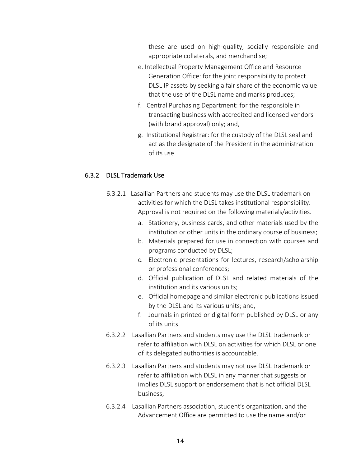these are used on high-quality, socially responsible and appropriate collaterals, and merchandise;

- e. Intellectual Property Management Office and Resource Generation Office: for the joint responsibility to protect DLSL IP assets by seeking a fair share of the economic value that the use of the DLSL name and marks produces;
- f. Central Purchasing Department: for the responsible in transacting business with accredited and licensed vendors (with brand approval) only; and,
- g. Institutional Registrar: for the custody of the DLSL seal and act as the designate of the President in the administration of its use.

#### 6.3.2 DLSL Trademark Use

- 6.3.2.1 Lasallian Partners and students may use the DLSL trademark on activities for which the DLSL takes institutional responsibility. Approval is not required on the following materials/activities.
	- a. Stationery, business cards, and other materials used by the institution or other units in the ordinary course of business;
	- b. Materials prepared for use in connection with courses and programs conducted by DLSL;
	- c. Electronic presentations for lectures, research/scholarship or professional conferences;
	- d. Official publication of DLSL and related materials of the institution and its various units;
	- e. Official homepage and similar electronic publications issued by the DLSL and its various units; and,
	- f. Journals in printed or digital form published by DLSL or any of its units.
- 6.3.2.2 Lasallian Partners and students may use the DLSL trademark or refer to affiliation with DLSL on activities for which DLSL or one of its delegated authorities is accountable.
- 6.3.2.3 Lasallian Partners and students may not use DLSL trademark or refer to affiliation with DLSL in any manner that suggests or implies DLSL support or endorsement that is not official DLSL business;
- 6.3.2.4 Lasallian Partners association, student's organization, and the Advancement Office are permitted to use the name and/or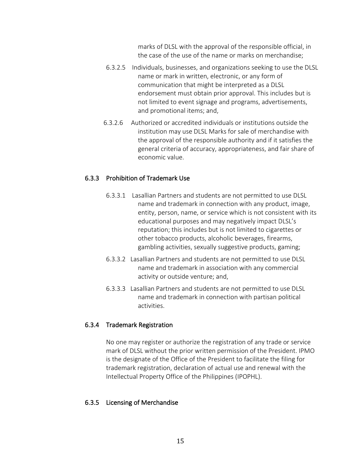marks of DLSL with the approval of the responsible official, in the case of the use of the name or marks on merchandise;

- 6.3.2.5 Individuals, businesses, and organizations seeking to use the DLSL name or mark in written, electronic, or any form of communication that might be interpreted as a DLSL endorsement must obtain prior approval. This includes but is not limited to event signage and programs, advertisements, and promotional items; and,
- 6.3.2.6 Authorized or accredited individuals or institutions outside the institution may use DLSL Marks for sale of merchandise with the approval of the responsible authority and if it satisfies the general criteria of accuracy, appropriateness, and fair share of economic value.

#### 6.3.3 Prohibition of Trademark Use

- 6.3.3.1 Lasallian Partners and students are not permitted to use DLSL name and trademark in connection with any product, image, entity, person, name, or service which is not consistent with its educational purposes and may negatively impact DLSL's reputation; this includes but is not limited to cigarettes or other tobacco products, alcoholic beverages, firearms, gambling activities, sexually suggestive products, gaming;
- 6.3.3.2 Lasallian Partners and students are not permitted to use DLSL name and trademark in association with any commercial activity or outside venture; and,
- 6.3.3.3 Lasallian Partners and students are not permitted to use DLSL name and trademark in connection with partisan political activities.

#### 6.3.4 Trademark Registration

No one may register or authorize the registration of any trade or service mark of DLSL without the prior written permission of the President. IPMO is the designate of the Office of the President to facilitate the filing for trademark registration, declaration of actual use and renewal with the Intellectual Property Office of the Philippines (IPOPHL).

#### 6.3.5 Licensing of Merchandise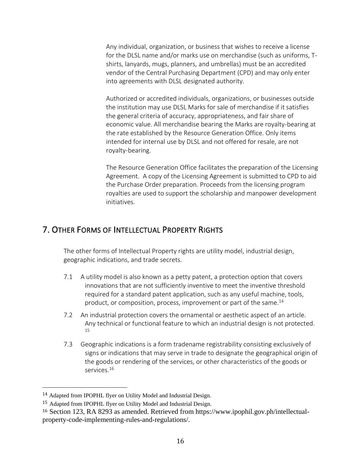Any individual, organization, or business that wishes to receive a license for the DLSL name and/or marks use on merchandise (such as uniforms, Tshirts, lanyards, mugs, planners, and umbrellas) must be an accredited vendor of the Central Purchasing Department (CPD) and may only enter into agreements with DLSL designated authority.

Authorized or accredited individuals, organizations, or businesses outside the institution may use DLSL Marks for sale of merchandise if it satisfies the general criteria of accuracy, appropriateness, and fair share of economic value. All merchandise bearing the Marks are royalty-bearing at the rate established by the Resource Generation Office. Only items intended for internal use by DLSL and not offered for resale, are not royalty-bearing.

The Resource Generation Office facilitates the preparation of the Licensing Agreement. A copy of the Licensing Agreement is submitted to CPD to aid the Purchase Order preparation. Proceeds from the licensing program royalties are used to support the scholarship and manpower development initiatives.

## <span id="page-16-0"></span>7. OTHER FORMS OF INTELLECTUAL PROPERTY RIGHTS

The other forms of Intellectual Property rights are utility model, industrial design, geographic indications, and trade secrets.

- 7.1 A utility model is also known as a petty patent, a protection option that covers innovations that are not sufficiently inventive to meet the inventive threshold required for a standard patent application, such as any useful machine, tools, product, or composition, process, improvement or part of the same. $^{14}$
- 7.2 An industrial protection covers the ornamental or aesthetic aspect of an article. Any technical or functional feature to which an industrial design is not protected. 15
- 7.3 Geographic indications is a form tradename registrability consisting exclusively of signs or indications that may serve in trade to designate the geographical origin of the goods or rendering of the services, or other characteristics of the goods or services.<sup>16</sup>

<sup>14</sup> Adapted from IPOPHL flyer on Utility Model and Industrial Design.

<sup>15</sup> Adapted from IPOPHL flyer on Utility Model and Industrial Design.

<sup>16</sup> Section 123, RA 8293 as amended. Retrieved from https://www.ipophil.gov.ph/intellectualproperty-code-implementing-rules-and-regulations/.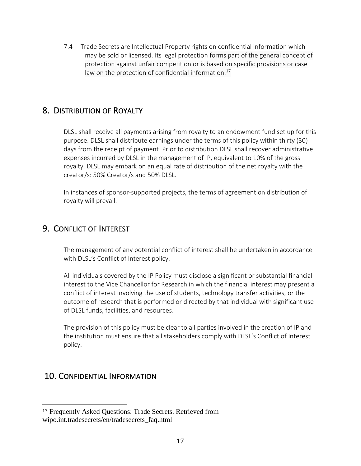7.4 Trade Secrets are Intellectual Property rights on confidential information which may be sold or licensed. Its legal protection forms part of the general concept of protection against unfair competition or is based on specific provisions or case law on the protection of confidential information.<sup>17</sup>

## <span id="page-17-0"></span>8. DISTRIBUTION OF ROYALTY

DLSL shall receive all payments arising from royalty to an endowment fund set up for this purpose. DLSL shall distribute earnings under the terms of this policy within thirty (30) days from the receipt of payment. Prior to distribution DLSL shall recover administrative expenses incurred by DLSL in the management of IP, equivalent to 10% of the gross royalty. DLSL may embark on an equal rate of distribution of the net royalty with the creator/s: 50% Creator/s and 50% DLSL.

In instances of sponsor-supported projects, the terms of agreement on distribution of royalty will prevail.

## <span id="page-17-1"></span>9. CONFLICT OF INTEREST

The management of any potential conflict of interest shall be undertaken in accordance with DLSL's Conflict of Interest policy.

All individuals covered by the IP Policy must disclose a significant or substantial financial interest to the Vice Chancellor for Research in which the financial interest may present a conflict of interest involving the use of students, technology transfer activities, or the outcome of research that is performed or directed by that individual with significant use of DLSL funds, facilities, and resources.

The provision of this policy must be clear to all parties involved in the creation of IP and the institution must ensure that all stakeholders comply with DLSL's Conflict of Interest policy.

# <span id="page-17-2"></span>10. CONFIDENTIAL INFORMATION

<sup>17</sup> Frequently Asked Questions: Trade Secrets. Retrieved from wipo.int.tradesecrets/en/tradesecrets\_faq.html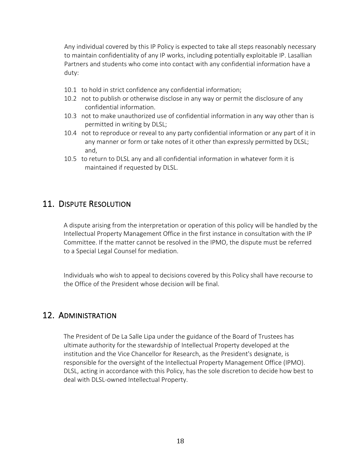Any individual covered by this IP Policy is expected to take all steps reasonably necessary to maintain confidentiality of any IP works, including potentially exploitable IP. Lasallian Partners and students who come into contact with any confidential information have a duty:

- 10.1 to hold in strict confidence any confidential information;
- 10.2 not to publish or otherwise disclose in any way or permit the disclosure of any confidential information.
- 10.3 not to make unauthorized use of confidential information in any way other than is permitted in writing by DLSL;
- 10.4 not to reproduce or reveal to any party confidential information or any part of it in any manner or form or take notes of it other than expressly permitted by DLSL; and,
- 10.5 to return to DLSL any and all confidential information in whatever form it is maintained if requested by DLSL.

# <span id="page-18-0"></span>11. DISPUTE RESOLUTION

A dispute arising from the interpretation or operation of this policy will be handled by the Intellectual Property Management Office in the first instance in consultation with the IP Committee. If the matter cannot be resolved in the IPMO, the dispute must be referred to a Special Legal Counsel for mediation.

Individuals who wish to appeal to decisions covered by this Policy shall have recourse to the Office of the President whose decision will be final.

### <span id="page-18-1"></span>12. ADMINISTRATION

The President of De La Salle Lipa under the guidance of the Board of Trustees has ultimate authority for the stewardship of Intellectual Property developed at the institution and the Vice Chancellor for Research, as the President's designate, is responsible for the oversight of the Intellectual Property Management Office (IPMO). DLSL, acting in accordance with this Policy, has the sole discretion to decide how best to deal with DLSL-owned Intellectual Property.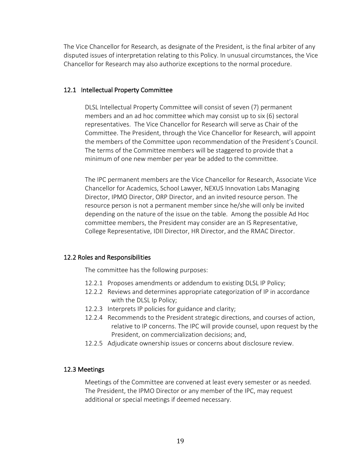The Vice Chancellor for Research, as designate of the President, is the final arbiter of any disputed issues of interpretation relating to this Policy. In unusual circumstances, the Vice Chancellor for Research may also authorize exceptions to the normal procedure.

#### 12.1 Intellectual Property Committee

DLSL Intellectual Property Committee will consist of seven (7) permanent members and an ad hoc committee which may consist up to six (6) sectoral representatives. The Vice Chancellor for Research will serve as Chair of the Committee. The President, through the Vice Chancellor for Research, will appoint the members of the Committee upon recommendation of the President's Council. The terms of the Committee members will be staggered to provide that a minimum of one new member per year be added to the committee.

The IPC permanent members are the Vice Chancellor for Research, Associate Vice Chancellor for Academics, School Lawyer, NEXUS Innovation Labs Managing Director, IPMO Director, ORP Director, and an invited resource person. The resource person is not a permanent member since he/she will only be invited depending on the nature of the issue on the table. Among the possible Ad Hoc committee members, the President may consider are an IS Representative, College Representative, IDII Director, HR Director, and the RMAC Director.

#### 12.2 Roles and Responsibilities

The committee has the following purposes:

- 12.2.1 Proposes amendments or addendum to existing DLSL IP Policy;
- 12.2.2 Reviews and determines appropriate categorization of IP in accordance with the DLSL Ip Policy;
- 12.2.3 Interprets IP policies for guidance and clarity;
- 12.2.4 Recommends to the President strategic directions, and courses of action, relative to IP concerns. The IPC will provide counsel, upon request by the President, on commercialization decisions; and,
- 12.2.5 Adjudicate ownership issues or concerns about disclosure review.

#### 12.3 Meetings

Meetings of the Committee are convened at least every semester or as needed. The President, the IPMO Director or any member of the IPC, may request additional or special meetings if deemed necessary.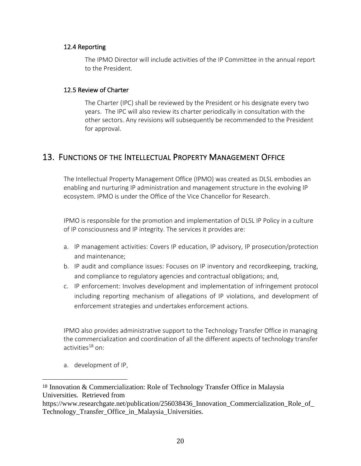#### 12.4 Reporting

The IPMO Director will include activities of the IP Committee in the annual report to the President.

#### 12.5 Review of Charter

The Charter (IPC) shall be reviewed by the President or his designate every two years. The IPC will also review its charter periodically in consultation with the other sectors. Any revisions will subsequently be recommended to the President for approval.

## <span id="page-20-0"></span>13. FUNCTIONS OF THE INTELLECTUAL PROPERTY MANAGEMENT OFFICE

The Intellectual Property Management Office (IPMO) was created as DLSL embodies an enabling and nurturing IP administration and management structure in the evolving IP ecosystem. IPMO is under the Office of the Vice Chancellor for Research.

IPMO is responsible for the promotion and implementation of DLSL IP Policy in a culture of IP consciousness and IP integrity. The services it provides are:

- a. IP management activities: Covers IP education, IP advisory, IP prosecution/protection and maintenance;
- b. IP audit and compliance issues: Focuses on IP inventory and recordkeeping, tracking, and compliance to regulatory agencies and contractual obligations; and,
- c. IP enforcement: Involves development and implementation of infringement protocol including reporting mechanism of allegations of IP violations, and development of enforcement strategies and undertakes enforcement actions.

IPMO also provides administrative support to the Technology Transfer Office in managing the commercialization and coordination of all the different aspects of technology transfer activities<sup>18</sup> on:

a. development of IP,

<sup>18</sup> Innovation & Commercialization: Role of Technology Transfer Office in Malaysia Universities. Retrieved from

https://www.researchgate.net/publication/256038436 Innovation Commercialization Role of Technology Transfer Office in Malaysia Universities.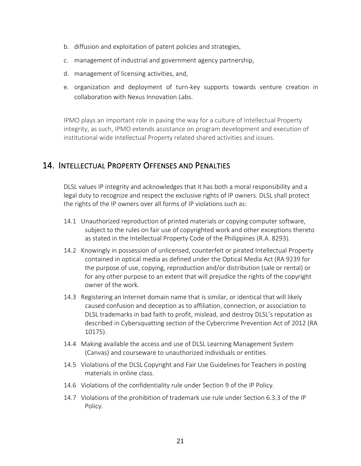- b. diffusion and exploitation of patent policies and strategies,
- c. management of industrial and government agency partnership,
- d. management of licensing activities, and,
- e. organization and deployment of turn-key supports towards venture creation in collaboration with Nexus Innovation Labs.

IPMO plays an important role in paving the way for a culture of Intellectual Property integrity, as such, IPMO extends assistance on program development and execution of institutional wide Intellectual Property related shared activities and issues.

# <span id="page-21-0"></span>14. INTELLECTUAL PROPERTY OFFENSES AND PENALTIES

DLSL values IP integrity and acknowledges that it has both a moral responsibility and a legal duty to recognize and respect the exclusive rights of IP owners. DLSL shall protect the rights of the IP owners over all forms of IP violations such as:

- 14.1 Unauthorized reproduction of printed materials or copying computer software, subject to the rules on fair use of copyrighted work and other exceptions thereto as stated in the Intellectual Property Code of the Philippines (R.A. 8293).
- 14.2 Knowingly in possession of unlicensed, counterfeit or pirated Intellectual Property contained in optical media as defined under the Optical Media Act (RA 9239 for the purpose of use, copying, reproduction and/or distribution (sale or rental) or for any other purpose to an extent that will prejudice the rights of the copyright owner of the work.
- 14.3 Registering an Internet domain name that is similar, or identical that will likely caused confusion and deception as to affiliation, connection, or association to DLSL trademarks in bad faith to profit, mislead, and destroy DLSL's reputation as described in Cybersquatting section of the Cybercrime Prevention Act of 2012 (RA 10175).
- 14.4 Making available the access and use of DLSL Learning Management System (Canvas) and courseware to unauthorized individuals or entities.
- 14.5 Violations of the DLSL Copyright and Fair Use Guidelines for Teachers in posting materials in online class.
- 14.6 Violations of the confidentiality rule under Section 9 of the IP Policy.
- 14.7 Violations of the prohibition of trademark use rule under Section 6.3.3 of the IP Policy.